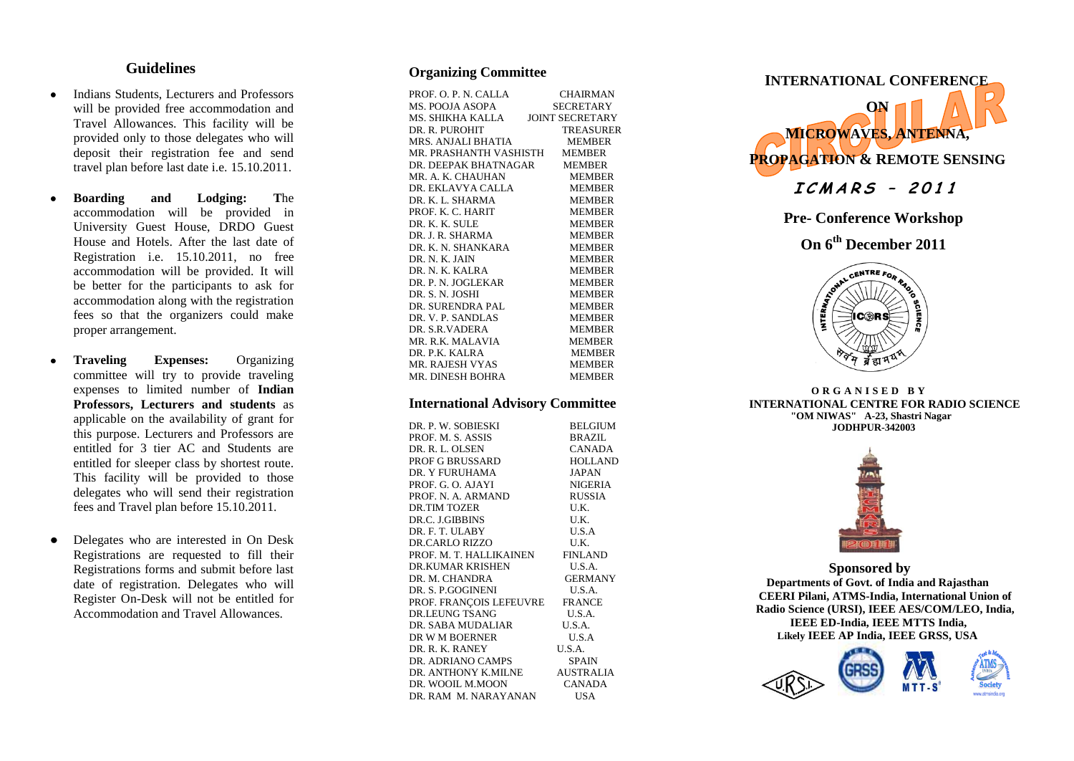## **Guidelines**

- Indians Students, Lecturers and Professors  $\bullet$ will be provided free accommodation and Travel Allowances. This facility will be provided only to those delegates who will deposit their registration fee and send travel plan before last date i.e. 15.10.2011.
- **Boarding and Lodging: T**he  $\bullet$ accommodation will be provided in University Guest House, DRDO Guest House and Hotels. After the last date of Registration i.e. 15.10.2011, no free accommodation will be provided. It will be better for the participants to ask for accommodation along with the registration fees so that the organizers could make proper arrangement.
- $\bullet$ **Traveling Expenses:** Organizing committee will try to provide traveling expenses to limited number of **Indian Professors, Lecturers and students** as applicable on the availability of grant for this purpose. Lecturers and Professors are entitled for 3 tier AC and Students are entitled for sleeper class by shortest route . This facility will be provided to those delegates who will send their registration fees and Travel plan before 15.10.2011.
- Delegates who are interested in On Desk  $\bullet$ Registrations are requested to fill their Registrations forms and submit before last date of registration . Delegates who will Register On -Desk will not be entitled for Accommodation and Travel Allowances.

# **Organizing Committee**

| PROF. O. P. N. CALLA             | <b>CHAIRMAN</b>  |
|----------------------------------|------------------|
| MS. POOJA ASOPA                  | <b>SECRETARY</b> |
| MS. SHIKHA KALLA JOINT SECRETARY |                  |
| DR. R. PUROHIT                   | <b>TREASURER</b> |
| MRS. ANJALI BHATIA               | <b>MEMBER</b>    |
| MR. PRASHANTH VASHISTH MEMBER    |                  |
| DR. DEEPAK BHATNAGAR MEMBER      |                  |
| MR. A. K. CHAUHAN                | <b>MEMBER</b>    |
| DR. EKLAVYA CALLA                | <b>MEMBER</b>    |
| DR. K. L. SHARMA                 | <b>MEMBER</b>    |
| PROF. K. C. HARIT                | <b>MEMBER</b>    |
| DR. K. K. SULE                   | <b>MEMBER</b>    |
| DR. J. R. SHARMA                 | <b>MEMBER</b>    |
| DR. K. N. SHANKARA               | <b>MEMBER</b>    |
| DR. N. K. JAIN                   | <b>MEMBER</b>    |
| DR N K KALRA                     | <b>MEMBER</b>    |
| DR. P. N. JOGLEKAR               | <b>MEMBER</b>    |
| DR. S. N. JOSHI                  | <b>MEMBER</b>    |
| DR. SURENDRA PAL                 | <b>MEMBER</b>    |
| DR. V. P. SANDLAS                | <b>MEMBER</b>    |
| DR. S.R. VADERA                  | <b>MEMBER</b>    |
| MR. R.K. MALAVIA                 | <b>MEMBER</b>    |
| DR. P.K. KALRA                   | MEMBER           |
| <b>MR. RAJESH VYAS</b>           | <b>MEMBER</b>    |
| MR. DINESH BOHRA                 | <b>MEMBER</b>    |

## **International Advisory Committee**

| DR. P. W. SOBIESKI             | <b>BELGIUM</b>   |
|--------------------------------|------------------|
| PROF. M. S. ASSIS              | BRAZIL           |
| DR. R. L. OLSEN                | <b>CANADA</b>    |
| <b>PROF G BRUSSARD</b>         | <b>HOLLAND</b>   |
| DR. Y FURUHAMA                 | <b>JAPAN</b>     |
| PROF. G. O. AJAYI              | <b>NIGERIA</b>   |
| PROF. N. A. ARMAND             | <b>RUSSIA</b>    |
| DR TIM TOZER                   | U.K.             |
| DR.C. J.GIBBINS                | U.K.             |
| DR. F. T. ULABY                | U.S.A            |
| DR.CARLO RIZZO                 | U.K.             |
| PROF. M. T. HALLIKAINEN        | FINLAND          |
| DR.KUMAR KRISHEN               | U.S.A.           |
| DR. M. CHANDRA                 | <b>GERMANY</b>   |
| DR. S. P.GOGINENI              | U.S.A.           |
| PROF. FRANÇOIS LEFEUVRE FRANCE |                  |
| DR LEUNG TSANG                 | U.S.A.           |
| DR. SABA MUDALIAR              | U.S.A.           |
| DR W M BOERNER                 | U.S.A            |
| DR. R. K. RANEY                | U.S.A.           |
| DR. ADRIANO CAMPS              | <b>SPAIN</b>     |
| DR. ANTHONY K.MILNE            | <b>AUSTRALIA</b> |
| DR. WOOIL M.MOON               | <b>CANADA</b>    |
| DR. RAM M. NARAYANAN           | USA              |
|                                |                  |



**Pre - Conference Workshop** 

**On 6th December 2011**



**O R G A N I S E D B Y INTERNATIONAL CENTRE FOR RADIO SCIENCE "OM NIWAS" A -23, Shastri Nagar JODHPUR -342003**



**Sponsored by Departments of Govt. of India and Rajasthan CEERI Pilani, ATMS -India, International Union of Radio Science (URSI) , IEEE AES/COM/LEO, India , IEEE ED -India, IEEE MTTS India , Likely IEEE AP India, IEEE GRSS, USA** 



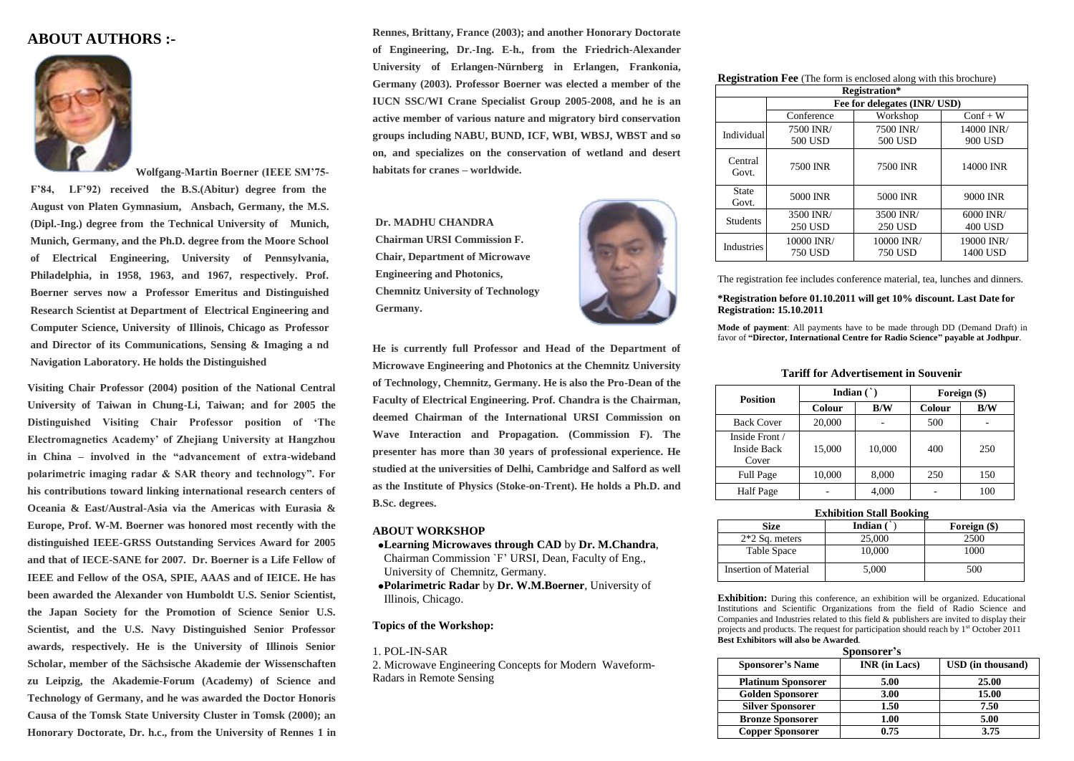## **ABOUT AUTHORS :-**



**Wolfgang-Martin Boerner (IEEE SM"75- F"84, LF"92) received the B.S.(Abitur) degree from the August von Platen Gymnasium, Ansbach, Germany, the M.S. (Dipl.-Ing.) degree from the Technical University of Munich, Munich, Germany, and the Ph.D. degree from the Moore School of Electrical Engineering, University of Pennsylvania, Philadelphia, in 1958, 1963, and 1967, respectively. Prof. Boerner serves now a Professor Emeritus and Distinguished Research Scientist at Department of Electrical Engineering and Computer Science, University of Illinois, Chicago as Professor and Director of its Communications, Sensing & Imaging a nd Navigation Laboratory. He holds the Distinguished**

**Visiting Chair Professor (2004) position of the National Central University of Taiwan in Chung-Li, Taiwan; and for 2005 the Distinguished Visiting Chair Professor position of "The Electromagnetics Academy" of Zhejiang University at Hangzhou in China – involved in the "advancement of extra-wideband polarimetric imaging radar & SAR theory and technology". For his contributions toward linking international research centers of Oceania & East/Austral-Asia via the Americas with Eurasia & Europe, Prof. W-M. Boerner was honored most recently with the distinguished IEEE-GRSS Outstanding Services Award for 2005 and that of IECE-SANE for 2007. Dr. Boerner is a Life Fellow of IEEE and Fellow of the OSA, SPIE, AAAS and of IEICE. He has been awarded the Alexander von Humboldt U.S. Senior Scientist, the Japan Society for the Promotion of Science Senior U.S. Scientist, and the U.S. Navy Distinguished Senior Professor awards, respectively. He is the University of Illinois Senior Scholar, member of the Sächsische Akademie der Wissenschaften zu Leipzig, the Akademie-Forum (Academy) of Science and Technology of Germany, and he was awarded the Doctor Honoris Causa of the Tomsk State University Cluster in Tomsk (2000); an Honorary Doctorate, Dr. h.c., from the University of Rennes 1 in** 

**Rennes, Brittany, France (2003); and another Honorary Doctorate of Engineering, Dr.-Ing. E-h., from the Friedrich-Alexander University of Erlangen-Nürnberg in Erlangen, Frankonia, Germany (2003). Professor Boerner was elected a member of the IUCN SSC/WI Crane Specialist Group 2005-2008, and he is an active member of various nature and migratory bird conservation groups including NABU, BUND, ICF, WBI, WBSJ, WBST and so on, and specializes on the conservation of wetland and desert habitats for cranes – worldwide.**

**Dr. MADHU CHANDRA Chairman URSI Commission F. Chair, Department of Microwave Engineering and Photonics, Chemnitz University of Technology Germany.**



**He is currently full Professor and Head of the Department of Microwave Engineering and Photonics at the Chemnitz University of Technology, Chemnitz, Germany. He is also the Pro-Dean of the Faculty of Electrical Engineering. Prof. Chandra is the Chairman, deemed Chairman of the International URSI Commission on Wave Interaction and Propagation. (Commission F). The presenter has more than 30 years of professional experience. He studied at the universities of Delhi, Cambridge and Salford as well as the Institute of Physics (Stoke-on-Trent). He holds a Ph.D. and B.Sc. degrees.**

## **ABOUT WORKSHOP**

**Learning Microwaves through CAD** by **Dr. M.Chandra**, Chairman Commission `F' URSI, Dean, Faculty of Eng., University of Chemnitz, Germany.

**Polarimetric Radar** by **Dr. W.M.Boerner**, University of Illinois, Chicago.

### **Topics of the Workshop:**

### 1. POL-IN-SAR

2. Microwave Engineering Concepts for Modern Waveform-Radars in Remote Sensing

| <b>Registration Fee</b> (The form is enclosed along with this brochure) |  |  |  |  |  |  |  |
|-------------------------------------------------------------------------|--|--|--|--|--|--|--|
|-------------------------------------------------------------------------|--|--|--|--|--|--|--|

| <b>Registration*</b>  |                              |                              |                             |  |
|-----------------------|------------------------------|------------------------------|-----------------------------|--|
|                       | Fee for delegates (INR/ USD) |                              |                             |  |
|                       | Conference                   | Workshop                     | $Conf + W$                  |  |
| Individual            | 7500 INR/<br>500 USD         | 7500 INR/<br>500 USD         | 14000 INR/<br>900 USD       |  |
| Central<br>Govt.      | <b>7500 INR</b>              | 7500 INR                     | 14000 INR                   |  |
| <b>State</b><br>Govt. | 5000 INR                     | 5000 INR                     | 9000 INR                    |  |
| <b>Students</b>       | 3500 INR/<br><b>250 USD</b>  | 3500 INR/<br><b>250 USD</b>  | 6000 INR/<br><b>400 USD</b> |  |
| <b>Industries</b>     | 10000 INR/<br><b>750 USD</b> | 10000 INR/<br><b>750 USD</b> | 19000 INR/<br>1400 USD      |  |

The registration fee includes conference material, tea, lunches and dinners.

### **\*Registration before 01.10.2011 will get 10% discount. Last Date for Registration: 15.10.2011**

**Mode of payment**: All payments have to be made through DD (Demand Draft) in favor of **"Director, International Centre for Radio Science" payable at Jodhpur**.

### **Tariff for Advertisement in Souvenir**

| <b>Position</b>                        | Indian $($ |        |        | Foreign (\$) |
|----------------------------------------|------------|--------|--------|--------------|
|                                        | Colour     | B/W    | Colour | B/W          |
| <b>Back Cover</b>                      | 20,000     |        | 500    |              |
| Inside Front /<br>Inside Back<br>Cover | 15,000     | 10,000 | 400    | 250          |
| <b>Full Page</b>                       | 10,000     | 8,000  | 250    | 150          |
| <b>Half</b> Page                       |            | 4,000  |        | 100          |

|                       | <b>Exhibition Stall Booking</b> |              |
|-----------------------|---------------------------------|--------------|
| <b>Size</b>           | Indian (                        | Foreign (\$) |
| $2*2$ Sq. meters      | 25,000                          | 2500         |
| Table Space           | 10.000                          | 1000         |
| Insertion of Material | 5.000                           | 500          |

**Exhibition:** During this conference, an exhibition will be organized. Educational Institutions and Scientific Organizations from the field of Radio Science and Companies and Industries related to this field & publishers are invited to display their projects and products. The request for participation should reach by 1<sup>st</sup> October 2011 **Best Exhibitors will also be Awarded.**

|                           | Sponsorer's          |                          |
|---------------------------|----------------------|--------------------------|
| <b>Sponsorer's Name</b>   | <b>INR</b> (in Lacs) | <b>USD</b> (in thousand) |
| <b>Platinum Sponsorer</b> | 5.00                 | 25.00                    |
| <b>Golden Sponsorer</b>   | 3.00                 | 15.00                    |
| <b>Silver Sponsorer</b>   | 1.50                 | 7.50                     |
| <b>Bronze Sponsorer</b>   | 1.00                 | 5.00                     |
| <b>Copper Sponsorer</b>   | 0.75                 | 3.75                     |